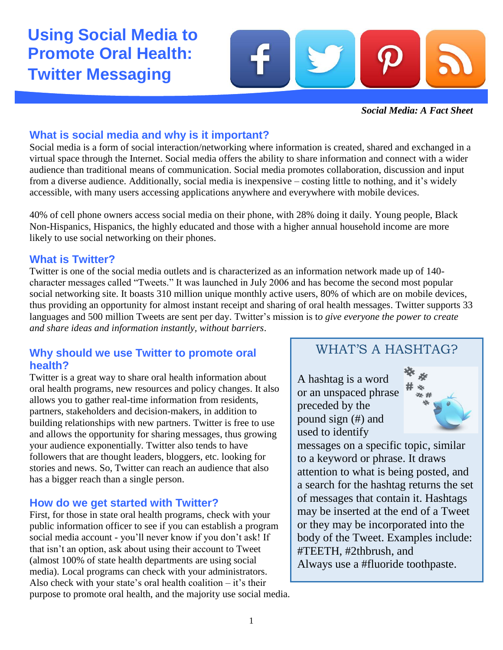**Using Social Media to Promote Oral Health: Twitter Messaging**



*Social Media: A Fact Sheet*

# **What is social media and why is it important?**

Social media is a form of social interaction/networking where information is created, shared and exchanged in a virtual space through the Internet. Social media offers the ability to share information and connect with a wider audience than traditional means of communication. Social media promotes collaboration, discussion and input from a diverse audience. Additionally, social media is inexpensive – costing little to nothing, and it's widely accessible, with many users accessing applications anywhere and everywhere with mobile devices.

40% of cell phone owners access social media on their phone, with 28% doing it daily. Young people, Black Non-Hispanics, Hispanics, the highly educated and those with a higher annual household income are more likely to use social networking on their phones.

## **What is Twitter?**

Twitter is one of the social media outlets and is characterized as an information network made up of 140 character messages called "Tweets." It was launched in July 2006 and has become the second most popular social networking site. It boasts 310 million unique monthly active users, 80% of which are on mobile devices, thus providing an opportunity for almost instant receipt and sharing of oral health messages. Twitter supports 33 languages and 500 million Tweets are sent per day. Twitter's mission is t*o give everyone the power to create and share ideas and information instantly, without barriers*.

# **Why should we use Twitter to promote oral health?**

Twitter is a great way to share oral health information about oral health programs, new resources and policy changes. It also allows you to gather real-time information from residents, partners, stakeholders and decision-makers, in addition to building relationships with new partners. Twitter is free to use and allows the opportunity for sharing messages, thus growing your audience exponentially. Twitter also tends to have followers that are thought leaders, bloggers, etc. looking for stories and news. So, Twitter can reach an audience that also has a bigger reach than a single person.

## **How do we get started with Twitter?**

First, for those in state oral health programs, check with your public information officer to see if you can establish a program social media account - you'll never know if you don't ask! If that isn't an option, ask about using their account to Tweet (almost 100% of state health departments are using social media). Local programs can check with your administrators. Also check with your state's oral health coalition  $-$  it's their purpose to promote oral health, and the majority use social media.

# WHAT'S A HASHTAG?

A hashtag is a word or an unspaced phrase preceded by the pound sign (#) and used to identify



messages on a specific topic, similar to a keyword or phrase. It draws attention to what is being posted, and a search for the hashtag returns the set of messages that contain it. Hashtags may be inserted at the end of a Tweet or they may be incorporated into the body of the Tweet. Examples include: #TEETH, #2thbrush, and Always use a #fluoride toothpaste.